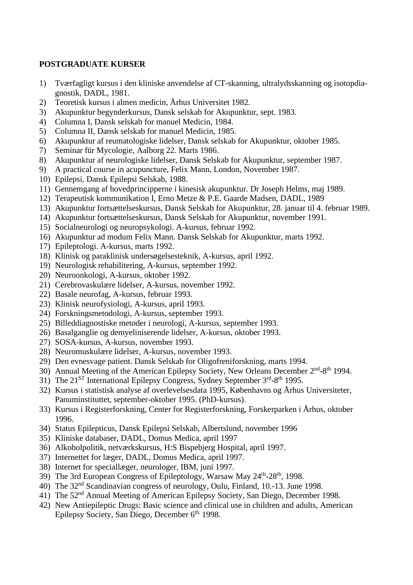## **POSTGRADUATE KURSER**

- 1) Tværfagligt kursus i den kliniske anvendelse af CT-skanning, ultralydsskanning og isotopdiagnostik, DADL, 1981.
- 2) Teoretisk kursus i almen medicin, Århus Universitet 1982.
- 3) Akupunktur begynderkursus, Dansk selskab for Akupunktur, sept. 1983.
- 4) Columna I, Dansk selskab for manuel Medicin, 1984.
- 5) Columna II, Dansk selskab for manuel Medicin, 1985.
- 6) Akupunktur af reumatologiske lidelser, Dansk selskab for Akupunktur, oktober 1985.
- 7) Seminar für Mycologie, Aalborg 22. Marts 1986.
- 8) Akupunktur af neurologiske lidelser, Dansk Selskab for Akupunktur, september 1987.
- 9) A practical course in acupuncture, Felix Mann, London, November 1987.
- 10) Epilepsi, Dansk Epilepsi Selskab, 1988.
- 11) Gennemgang af hovedprincipperne i kinesisk akupunktur. Dr Joseph Helms, maj 1989.
- 12) Terapeutisk kommunikation I, Erno Metze & P.E. Gaarde Madsen, DADL, 1989
- 13) Akupunktur fortsættelseskursus, Dansk Selskab for Akupunktur, 28. januar til 4. februar 1989.
- 14) Akupunktur fortsættelseskursus, Dansk Selskab for Akupunktur, november 1991.
- 15) Socialneurologi og neuropsykologi. A-kursus, februar 1992.
- 16) Akupunktur ad modum Felix Mann. Dansk Selskab for Akupunktur, marts 1992.
- 17) Epileptologi. A-kursus, marts 1992.
- 18) Klinisk og paraklinisk undersøgelsesteknik, A-kursus, april 1992.
- 19) Neurologisk rehabilitering, A-kursus, september 1992.
- 20) Neuroonkologi, A-kursus, oktober 1992.
- 21) Cerebrovaskulære lidelser, A-kursus, november 1992.
- 22) Basale neurofag, A-kursus, februar 1993.
- 23) Klinisk neurofysiologi, A-kursus, april 1993.
- 24) Forskningsmetodologi, A-kursus, september 1993.
- 25) Billeddiagnostiske metoder i neurologi, A-kursus, september 1993.
- 26) Basalganglie og demyeliniserende lidelser, A-kursus, oktober 1993.
- 27) SOSA-kursus, A-kursus, november 1993.
- 28) Neuromuskulære lidelser, A-kursus, november 1993.
- 29) Den evnesvage patient. Dansk Selskab for Oligofreniforskning, marts 1994.
- 30) Annual Meeting of the American Epilepsy Society, New Orleans December 2<sup>nd</sup>-8<sup>th</sup> 1994.
- 31) The 21<sup>ST</sup> International Epilepsy Congress, Sydney September 3<sup>rd</sup>-8<sup>th</sup> 1995.
- 32) Kursus i statistisk analyse af overlevelsesdata 1995, Københavns og Århus Universiteter, Panuminstituttet, september-oktober 1995. (PhD-kursus).
- 33) Kursus i Registerforskning, Center for Registerforskning, Forskerparken i Århus, oktober 1996.
- 34) Status Epilepticus, Dansk Epilepsi Selskab, Albertslund, november 1996
- 35) Kliniske databaser, DADL, Domus Medica, april 1997
- 36) Alkoholpolitik, netværkskursus, H:S Bispebjerg Hospital, april 1997.
- 37) Internettet for læger, DADL, Domus Medica, april 1997.
- 38) Internet for speciallæger, neurologer, IBM, juni 1997.
- 39) The 3rd European Congress of Epileptology, Warsaw May 24<sup>th</sup>-28<sup>th</sup>, 1998.
- 40) The 32nd Scandinavian congress of neurology, Oulu, Finland, 10.-13. June 1998.
- 41) The 52nd Annual Meeting of American Epilepsy Society, San Diego, December 1998.
- 42) New Antiepileptic Drugs: Basic science and clinical use in children and adults, American Epilepsy Society, San Diego, December 6<sup>th.</sup> 1998.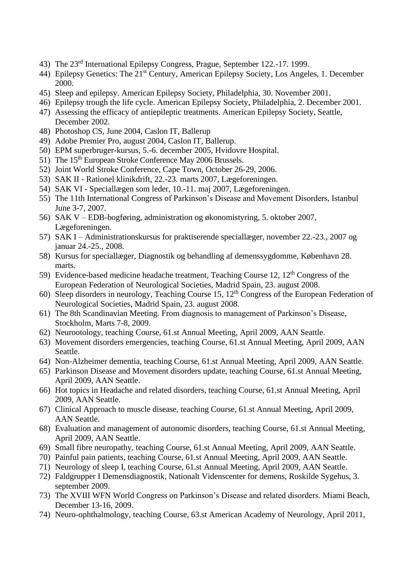- 43) The 23rd International Epilepsy Congress, Prague, September 122.-17. 1999.
- 44) Epilepsy Genetics: The 21<sup>st</sup> Century, American Epilepsy Society, Los Angeles, 1. December 2000.
- 45) Sleep and epilepsy. American Epilepsy Society, Philadelphia, 30. November 2001.
- 46) Epilepsy trough the life cycle. American Epilepsy Society, Philadelphia, 2. December 2001.
- 47) Assessing the efficacy of antiepileptic treatments. American Epilepsy Society, Seattle, December 2002.
- 48) Photoshop CS, June 2004, Caslon IT, Ballerup
- 49) Adobe Premier Pro, august 2004, Caslon IT, Ballerup.
- 50) EPM superbruger-kursus, 5.-6. december 2005, Hvidovre Hospital.
- 51) The 15<sup>th</sup> European Stroke Conference May 2006 Brussels.
- 52) Joint World Stroke Conference, Cape Town, October 26-29, 2006.
- 53) SAK II Rationel klinikdrift, 22.-23. marts 2007, Lægeforeningen.
- 54) SAK VI Speciallægen som leder, 10.-11. maj 2007, Lægeforeningen.
- 55) The 11th International Congress of Parkinson's Disease and Movement Disorders, Istanbul June 3-7, 2007.
- 56) SAK V EDB-bogføring, administration og økonomistyring, 5. oktober 2007, Lægeforeningen.
- 57) SAK I Administrationskursus for praktiserende speciallæger, november 22.-23., 2007 og januar 24.-25., 2008.
- 58) Kursus for speciallæger, Diagnostik og behandling af demenssygdomme, København 28. marts.
- 59) Evidence-based medicine headache treatment, Teaching Course 12,  $12<sup>th</sup>$  Congress of the European Federation of Neurological Societies, Madrid Spain, 23. august 2008.
- 60) Sleep disorders in neurology, Teaching Course 15,  $12<sup>th</sup>$  Congress of the European Federation of Neurological Societies, Madrid Spain, 23. august 2008.
- 61) The 8th Scandinavian Meeting. From diagnosis to management of Parkinson's Disease, Stockholm, Marts 7-8, 2009.
- 62) Neurootology, teaching Course, 61.st Annual Meeting, April 2009, AAN Seattle.
- 63) Movement disorders emergencies, teaching Course, 61.st Annual Meeting, April 2009, AAN Seattle.
- 64) Non-Alzheimer dementia, teaching Course, 61.st Annual Meeting, April 2009, AAN Seattle.
- 65) Parkinson Disease and Movement disorders update, teaching Course, 61.st Annual Meeting, April 2009, AAN Seattle.
- 66) Hot topics in Headache and related disorders, teaching Course, 61.st Annual Meeting, April 2009, AAN Seattle.
- 67) Clinical Approach to muscle disease, teaching Course, 61.st Annual Meeting, April 2009, AAN Seattle.
- 68) Evaluation and management of autonomic disorders, teaching Course, 61.st Annual Meeting, April 2009, AAN Seattle.
- 69) Small fibre neuropathy, teaching Course, 61.st Annual Meeting, April 2009, AAN Seattle.
- 70) Painful pain patients, teaching Course, 61.st Annual Meeting, April 2009, AAN Seattle.
- 71) Neurology of sleep I, teaching Course, 61.st Annual Meeting, April 2009, AAN Seattle.
- 72) Faldgrupper I Demensdiagnostik, Nationalt Videnscenter for demens, Roskilde Sygehus, 3. september 2009.
- 73) The XVIII WFN World Congress on Parkinson's Disease and related disorders. Miami Beach, December 13-16, 2009.
- 74) Neuro-ophthalmology, teaching Course, 63.st American Academy of Neurology, April 2011,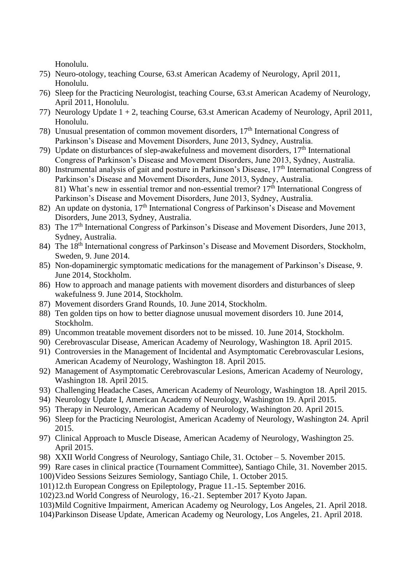Honolulu.

- 75) Neuro-otology, teaching Course, 63.st American Academy of Neurology, April 2011, Honolulu.
- 76) Sleep for the Practicing Neurologist, teaching Course, 63.st American Academy of Neurology, April 2011, Honolulu.
- 77) Neurology Update 1 + 2, teaching Course, 63.st American Academy of Neurology, April 2011, Honolulu.
- 78) Unusual presentation of common movement disorders, 17<sup>th</sup> International Congress of Parkinson's Disease and Movement Disorders, June 2013, Sydney, Australia.
- 79) Update on disturbances of slep-awakefulness and movement disorders,  $17<sup>th</sup>$  International Congress of Parkinson's Disease and Movement Disorders, June 2013, Sydney, Australia.
- 80) Instrumental analysis of gait and posture in Parkinson's Disease, 17<sup>th</sup> International Congress of Parkinson's Disease and Movement Disorders, June 2013, Sydney, Australia. 81) What's new in essential tremor and non-essential tremor? 17<sup>th</sup> International Congress of Parkinson's Disease and Movement Disorders, June 2013, Sydney, Australia.
- 82) An update on dystonia,  $17<sup>th</sup>$  International Congress of Parkinson's Disease and Movement Disorders, June 2013, Sydney, Australia.
- 83) The 17<sup>th</sup> International Congress of Parkinson's Disease and Movement Disorders, June 2013, Sydney, Australia.
- 84) The 18<sup>th</sup> International congress of Parkinson's Disease and Movement Disorders, Stockholm, Sweden, 9. June 2014.
- 85) Non-dopaminergic symptomatic medications for the management of Parkinson's Disease, 9. June 2014, Stockholm.
- 86) How to approach and manage patients with movement disorders and disturbances of sleep wakefulness 9. June 2014, Stockholm.
- 87) Movement disorders Grand Rounds, 10. June 2014, Stockholm.
- 88) Ten golden tips on how to better diagnose unusual movement disorders 10. June 2014, Stockholm.
- 89) Uncommon treatable movement disorders not to be missed. 10. June 2014, Stockholm.
- 90) Cerebrovascular Disease, American Academy of Neurology, Washington 18. April 2015.
- 91) Controversies in the Management of Incidental and Asymptomatic Cerebrovascular Lesions, American Academy of Neurology, Washington 18. April 2015.
- 92) Management of Asymptomatic Cerebrovascular Lesions, American Academy of Neurology, Washington 18. April 2015.
- 93) Challenging Headache Cases, American Academy of Neurology, Washington 18. April 2015.
- 94) Neurology Update I, American Academy of Neurology, Washington 19. April 2015.
- 95) Therapy in Neurology, American Academy of Neurology, Washington 20. April 2015.
- 96) Sleep for the Practicing Neurologist, American Academy of Neurology, Washington 24. April 2015.
- 97) Clinical Approach to Muscle Disease, American Academy of Neurology, Washington 25. April 2015.
- 98) XXII World Congress of Neurology, Santiago Chile, 31. October 5. November 2015.
- 99) Rare cases in clinical practice (Tournament Committee), Santiago Chile, 31. November 2015.
- 100)Video Sessions Seizures Semiology, Santiago Chile, 1. October 2015.
- 101)12.th European Congress on Epileptology, Prague 11.-15. September 2016.
- 102)23.nd World Congress of Neurology, 16.-21. September 2017 Kyoto Japan.
- 103)Mild Cognitive Impairment, American Academy og Neurology, Los Angeles, 21. April 2018.
- 104)Parkinson Disease Update, American Academy og Neurology, Los Angeles, 21. April 2018.